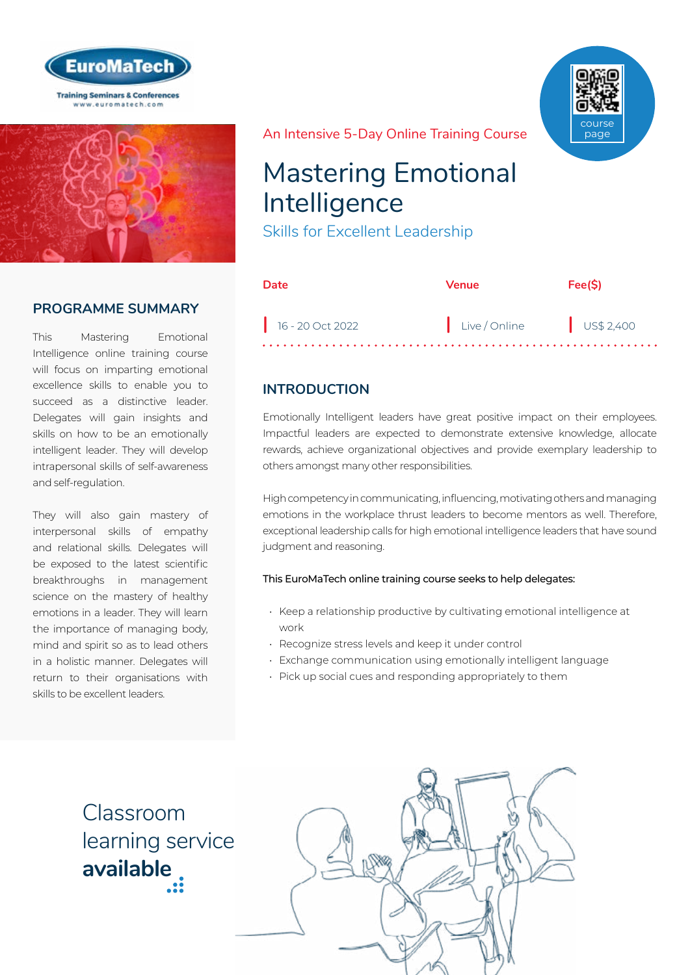



### **PROGRAMME SUMMARY**

This Mastering Emotional Intelligence online training course will focus on imparting emotional excellence skills to enable you to succeed as a distinctive leader. Delegates will gain insights and skills on how to be an emotionally intelligent leader. They will develop intrapersonal skills of self-awareness and self-regulation.

They will also gain mastery of interpersonal skills of empathy and relational skills. Delegates will be exposed to the latest scientific breakthroughs in management science on the mastery of healthy emotions in a leader. They will learn the importance of managing body, mind and spirit so as to lead others in a holistic manner. Delegates will return to their organisations with skills to be excellent leaders.

course page

#### An Intensive 5-Day Online Training Course

# Mastering Emotional Intelligence

Skills for Excellent Leadership

| Date               | <b>Venue</b>           | Fee(S) |
|--------------------|------------------------|--------|
| $16 - 20$ Oct 2022 | Live/Online US\$ 2,400 |        |

## **INTRODUCTION**

Emotionally Intelligent leaders have great positive impact on their employees. Impactful leaders are expected to demonstrate extensive knowledge, allocate rewards, achieve organizational objectives and provide exemplary leadership to others amongst many other responsibilities.

High competency in communicating, influencing, motivating others and managing emotions in the workplace thrust leaders to become mentors as well. Therefore, exceptional leadership calls for high emotional intelligence leaders that have sound judgment and reasoning.

#### This EuroMaTech online training course seeks to help delegates:

- Keep a relationship productive by cultivating emotional intelligence at work
- Recognize stress levels and keep it under control
- Exchange communication using emotionally intelligent language
- Pick up social cues and responding appropriately to them

Classroom [learning service](https://www.euromatech.com/seminars/mastering-emotional-intelligence-skills-for-excellent-leadership/)  **available**

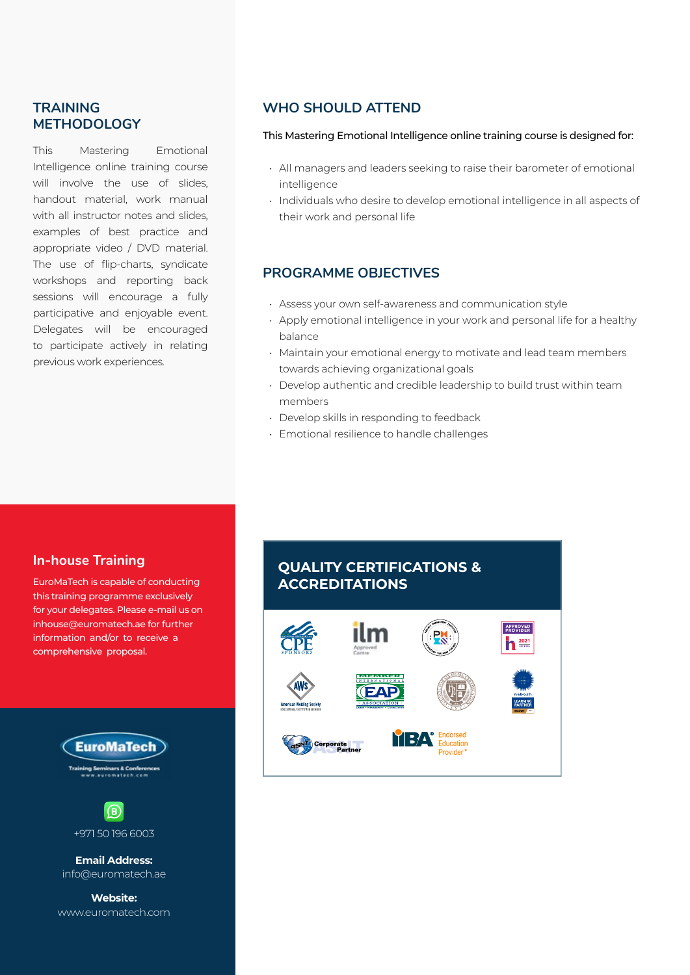#### **TRAINING METHODOLOGY**

This Mastering Emotional Intelligence online training course will involve the use of slides. handout material, work manual with all instructor notes and slides. examples of best practice and appropriate video / DVD material. The use of flip-charts, syndicate workshops and reporting back sessions will encourage a fully participative and enjoyable event. Delegates will be encouraged to participate actively in relating previous work experiences.

## **WHO SHOULD ATTEND**

#### This Mastering Emotional Intelligence online training course is designed for:

- All managers and leaders seeking to raise their barometer of emotional intelligence
- Individuals who desire to develop emotional intelligence in all aspects of their work and personal life

#### **PROGRAMME OBJECTIVES**

- Assess your own self-awareness and communication style
- Apply emotional intelligence in your work and personal life for a healthy balance
- Maintain your emotional energy to motivate and lead team members towards achieving organizational goals
- Develop authentic and credible leadership to build trust within team members
- Develop skills in responding to feedback
- Emotional resilience to handle challenges

#### **In-house Training**

EuroMaTech is capable of conducting this training programme exclusively for your delegates. Please e-mail us on inhouse@euromatech.ae for further information and/or to receive a comprehensive proposal.





**Email Address:** info@euromatech.ae

**Website:** www.euromatech.com

## **QUALITY CERTIFICATIONS & ACCREDITATIONS**

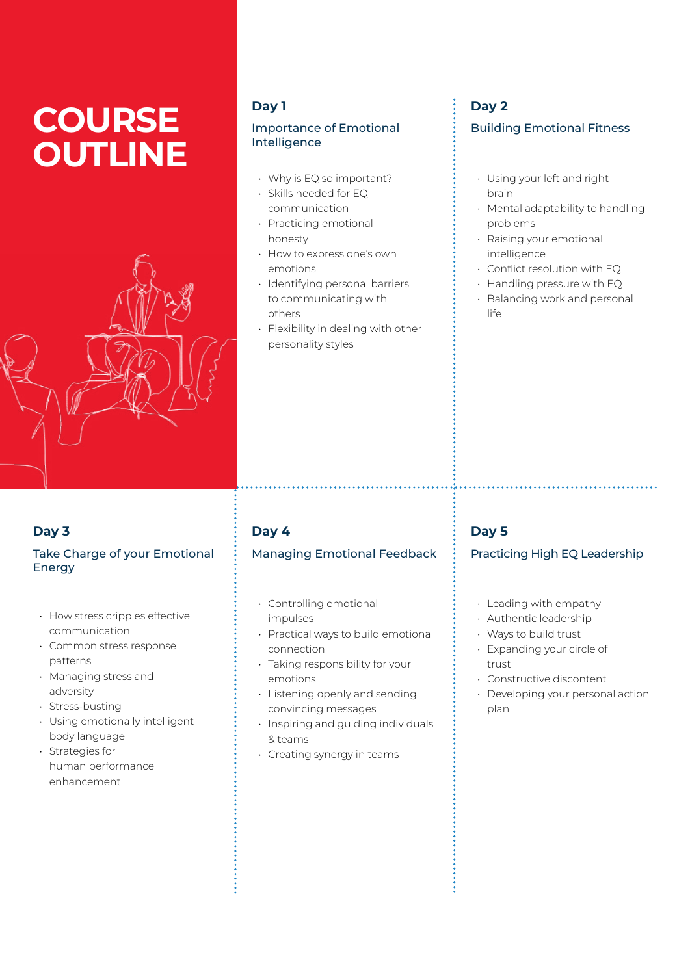# **COURSE OUTLINE**



#### **Day 1**

#### Importance of Emotional Intelligence

- Why is EQ so important?
- Skills needed for EQ communication
- Practicing emotional honesty
- How to express one's own emotions
- Identifying personal barriers to communicating with others
- Flexibility in dealing with other personality styles

## **Day 2**

#### Building Emotional Fitness

- Using your left and right brain
- Mental adaptability to handling problems
- Raising your emotional intelligence
- Conflict resolution with EQ
- Handling pressure with EQ
- Balancing work and personal life

## **Day 3**

#### Take Charge of your Emotional Energy

- How stress cripples effective communication
- Common stress response patterns
- Managing stress and adversity
- Stress-busting
- Using emotionally intelligent body language
- Strategies for human performance enhancement

## **Day 4**

## Managing Emotional Feedback

- Controlling emotional impulses
- Practical ways to build emotional connection
- Taking responsibility for your emotions
- Listening openly and sending convincing messages
- Inspiring and guiding individuals & teams
- Creating synergy in teams

## **Day 5**

#### Practicing High EQ Leadership

- Leading with empathy
- Authentic leadership
- Ways to build trust
- Expanding your circle of trust
- Constructive discontent
- Developing your personal action plan